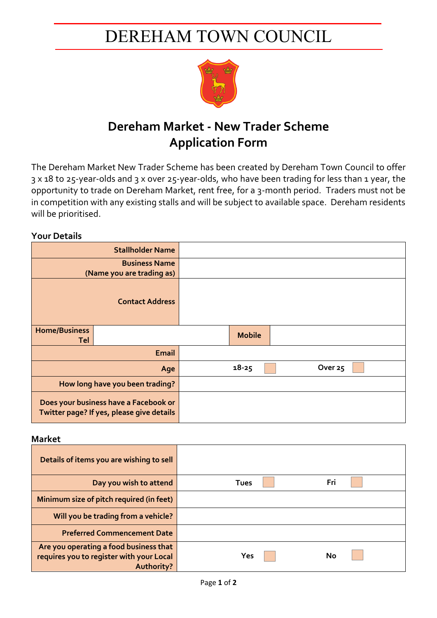# DEREHAM TOWN COUNCIL



## **Dereham Market - New Trader Scheme Application Form**

The Dereham Market New Trader Scheme has been created by Dereham Town Council to offer 3 x 18 to 25-year-olds and 3 x over 25-year-olds, who have been trading for less than 1 year, the opportunity to trade on Dereham Market, rent free, for a 3-month period. Traders must not be in competition with any existing stalls and will be subject to available space. Dereham residents will be prioritised.

### **Your Details**

|                                                                                    | <b>Stallholder Name</b> |               |                    |
|------------------------------------------------------------------------------------|-------------------------|---------------|--------------------|
| <b>Business Name</b>                                                               |                         |               |                    |
| (Name you are trading as)                                                          |                         |               |                    |
|                                                                                    | <b>Contact Address</b>  |               |                    |
| <b>Home/Business</b>                                                               |                         | <b>Mobile</b> |                    |
| Tel                                                                                |                         |               |                    |
|                                                                                    | Email                   |               |                    |
| Age                                                                                |                         | $18 - 25$     | Over <sub>25</sub> |
| How long have you been trading?                                                    |                         |               |                    |
| Does your business have a Facebook or<br>Twitter page? If yes, please give details |                         |               |                    |

#### **Market**

| Details of items you are wishing to sell                                                         |             |     |
|--------------------------------------------------------------------------------------------------|-------------|-----|
| Day you wish to attend                                                                           | <b>Tues</b> | Fri |
| Minimum size of pitch required (in feet)                                                         |             |     |
| Will you be trading from a vehicle?                                                              |             |     |
| <b>Preferred Commencement Date</b>                                                               |             |     |
| Are you operating a food business that<br>requires you to register with your Local<br>Authority? | Yes         | No  |